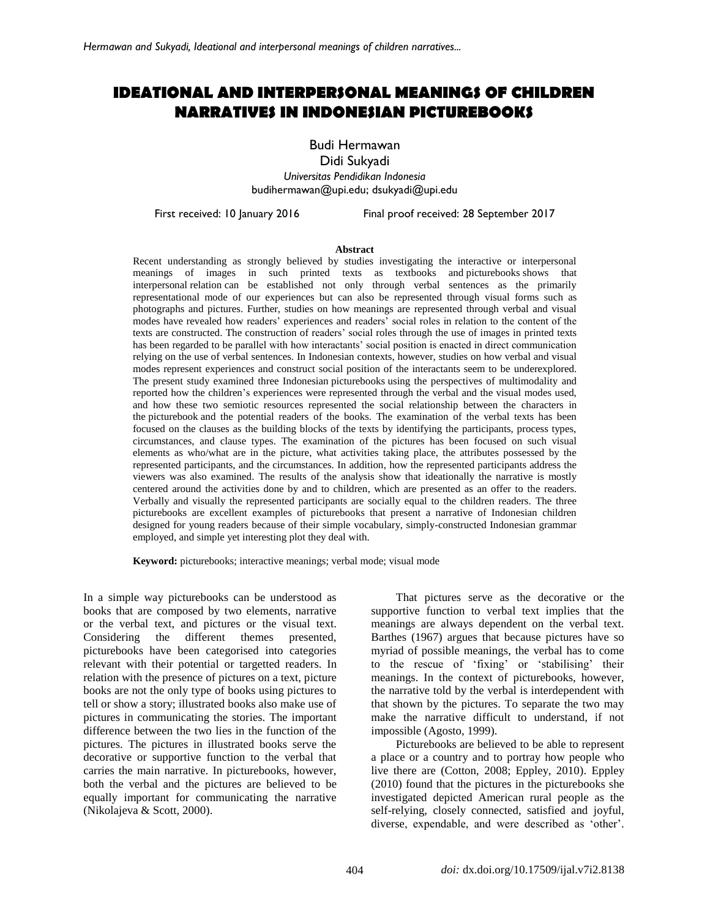# **IDEATIONAL AND INTERPERSONAL MEANINGS OF CHILDREN NARRATIVES IN INDONESIAN PICTUREBOOKS**

Budi Hermawan

Didi Sukyadi *Universitas Pendidikan Indonesia* [budihermawan@upi.edu;](mailto:budihermawan@upi.edu) dsukyadi@upi.edu

First received: 10 January 2016 Final proof received: 28 September 2017

#### **Abstract**

Recent understanding as strongly believed by studies investigating the interactive or interpersonal meanings of images in such printed texts as textbooks and picturebooks shows that interpersonal relation can be established not only through verbal sentences as the primarily representational mode of our experiences but can also be represented through visual forms such as photographs and pictures. Further, studies on how meanings are represented through verbal and visual modes have revealed how readers' experiences and readers' social roles in relation to the content of the texts are constructed. The construction of readers' social roles through the use of images in printed texts has been regarded to be parallel with how interactants' social position is enacted in direct communication relying on the use of verbal sentences. In Indonesian contexts, however, studies on how verbal and visual modes represent experiences and construct social position of the interactants seem to be underexplored. The present study examined three Indonesian picturebooks using the perspectives of multimodality and reported how the children's experiences were represented through the verbal and the visual modes used, and how these two semiotic resources represented the social relationship between the characters in the picturebook and the potential readers of the books. The examination of the verbal texts has been focused on the clauses as the building blocks of the texts by identifying the participants, process types, circumstances, and clause types. The examination of the pictures has been focused on such visual elements as who/what are in the picture, what activities taking place, the attributes possessed by the represented participants, and the circumstances. In addition, how the represented participants address the viewers was also examined. The results of the analysis show that ideationally the narrative is mostly centered around the activities done by and to children, which are presented as an offer to the readers. Verbally and visually the represented participants are socially equal to the children readers. The three picturebooks are excellent examples of picturebooks that present a narrative of Indonesian children designed for young readers because of their simple vocabulary, simply-constructed Indonesian grammar employed, and simple yet interesting plot they deal with.

**Keyword:** picturebooks; interactive meanings; verbal mode; visual mode

In a simple way picturebooks can be understood as books that are composed by two elements, narrative or the verbal text, and pictures or the visual text. Considering the different themes presented, picturebooks have been categorised into categories relevant with their potential or targetted readers. In relation with the presence of pictures on a text, picture books are not the only type of books using pictures to tell or show a story; illustrated books also make use of pictures in communicating the stories. The important difference between the two lies in the function of the pictures. The pictures in illustrated books serve the decorative or supportive function to the verbal that carries the main narrative. In picturebooks, however, both the verbal and the pictures are believed to be equally important for communicating the narrative (Nikolajeva & Scott, 2000).

That pictures serve as the decorative or the supportive function to verbal text implies that the meanings are always dependent on the verbal text. Barthes (1967) argues that because pictures have so myriad of possible meanings, the verbal has to come to the rescue of 'fixing' or 'stabilising' their meanings. In the context of picturebooks, however, the narrative told by the verbal is interdependent with that shown by the pictures. To separate the two may make the narrative difficult to understand, if not impossible (Agosto, 1999).

Picturebooks are believed to be able to represent a place or a country and to portray how people who live there are (Cotton, 2008; Eppley, 2010). Eppley (2010) found that the pictures in the picturebooks she investigated depicted American rural people as the self-relying, closely connected, satisfied and joyful, diverse, expendable, and were described as 'other'.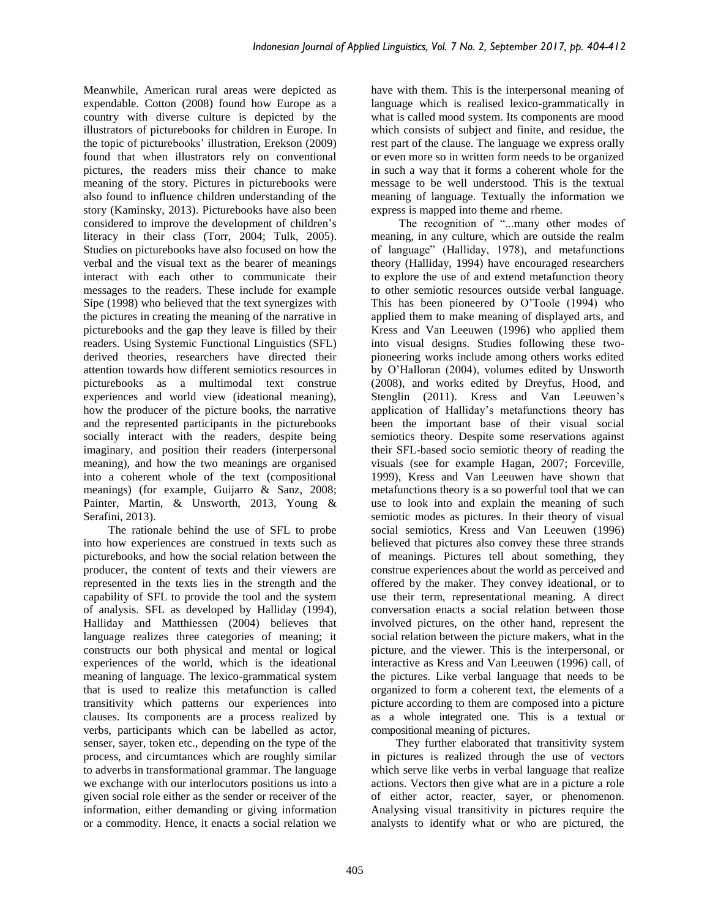Meanwhile, American rural areas were depicted as expendable. Cotton (2008) found how Europe as a country with diverse culture is depicted by the illustrators of picturebooks for children in Europe. In the topic of picturebooks' illustration, Erekson (2009) found that when illustrators rely on conventional pictures, the readers miss their chance to make meaning of the story. Pictures in picturebooks were also found to influence children understanding of the story (Kaminsky, 2013). Picturebooks have also been considered to improve the development of children's literacy in their class (Torr, 2004; Tulk, 2005). Studies on picturebooks have also focused on how the verbal and the visual text as the bearer of meanings interact with each other to communicate their messages to the readers. These include for example Sipe (1998) who believed that the text synergizes with the pictures in creating the meaning of the narrative in picturebooks and the gap they leave is filled by their readers. Using Systemic Functional Linguistics (SFL) derived theories, researchers have directed their attention towards how different semiotics resources in picturebooks as a multimodal text construe experiences and world view (ideational meaning), how the producer of the picture books, the narrative and the represented participants in the picturebooks socially interact with the readers, despite being imaginary, and position their readers (interpersonal meaning), and how the two meanings are organised into a coherent whole of the text (compositional meanings) (for example, Guijarro & Sanz, 2008; Painter, Martin, & Unsworth, 2013, Young & Serafini, 2013).

The rationale behind the use of SFL to probe into how experiences are construed in texts such as picturebooks, and how the social relation between the producer, the content of texts and their viewers are represented in the texts lies in the strength and the capability of SFL to provide the tool and the system of analysis. SFL as developed by Halliday (1994), Halliday and Matthiessen (2004) believes that language realizes three categories of meaning; it constructs our both physical and mental or logical experiences of the world, which is the ideational meaning of language. The lexico-grammatical system that is used to realize this metafunction is called transitivity which patterns our experiences into clauses. Its components are a process realized by verbs, participants which can be labelled as actor, senser, sayer, token etc., depending on the type of the process, and circumtances which are roughly similar to adverbs in transformational grammar. The language we exchange with our interlocutors positions us into a given social role either as the sender or receiver of the information, either demanding or giving information or a commodity. Hence, it enacts a social relation we

have with them. This is the interpersonal meaning of language which is realised lexico-grammatically in what is called mood system. Its components are mood which consists of subject and finite, and residue, the rest part of the clause. The language we express orally or even more so in written form needs to be organized in such a way that it forms a coherent whole for the message to be well understood. This is the textual meaning of language. Textually the information we express is mapped into theme and rheme.

The recognition of "...many other modes of meaning, in any culture, which are outside the realm of language" (Halliday, 1978), and metafunctions theory (Halliday, 1994) have encouraged researchers to explore the use of and extend metafunction theory to other semiotic resources outside verbal language. This has been pioneered by O'Toole (1994) who applied them to make meaning of displayed arts, and Kress and Van Leeuwen (1996) who applied them into visual designs. Studies following these twopioneering works include among others works edited by O'Halloran (2004), volumes edited by Unsworth (2008), and works edited by Dreyfus, Hood, and Stenglin (2011). Kress and Van Leeuwen's application of Halliday's metafunctions theory has been the important base of their visual social semiotics theory. Despite some reservations against their SFL-based socio semiotic theory of reading the visuals (see for example Hagan, 2007; Forceville, 1999), Kress and Van Leeuwen have shown that metafunctions theory is a so powerful tool that we can use to look into and explain the meaning of such semiotic modes as pictures. In their theory of visual social semiotics, Kress and Van Leeuwen (1996) believed that pictures also convey these three strands of meanings. Pictures tell about something, they construe experiences about the world as perceived and offered by the maker. They convey ideational, or to use their term, representational meaning. A direct conversation enacts a social relation between those involved pictures, on the other hand, represent the social relation between the picture makers, what in the picture, and the viewer. This is the interpersonal, or interactive as Kress and Van Leeuwen (1996) call, of the pictures. Like verbal language that needs to be organized to form a coherent text, the elements of a picture according to them are composed into a picture as a whole integrated one. This is a textual or compositional meaning of pictures.

They further elaborated that transitivity system in pictures is realized through the use of vectors which serve like verbs in verbal language that realize actions. Vectors then give what are in a picture a role of either actor, reacter, sayer, or phenomenon. Analysing visual transitivity in pictures require the analysts to identify what or who are pictured, the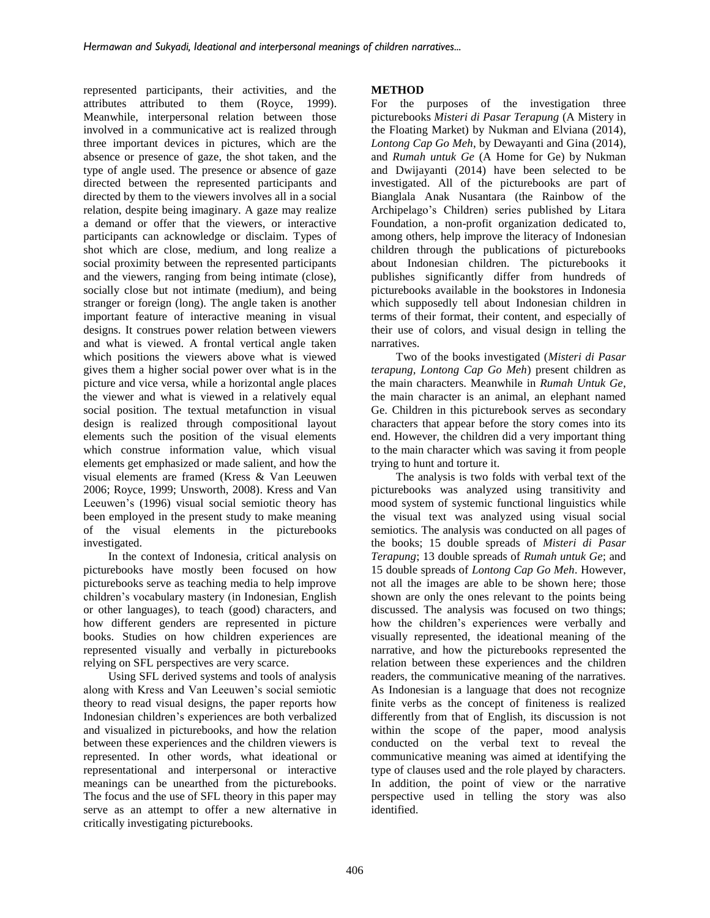represented participants, their activities, and the attributes attributed to them (Royce, 1999). Meanwhile, interpersonal relation between those involved in a communicative act is realized through three important devices in pictures, which are the absence or presence of gaze, the shot taken, and the type of angle used. The presence or absence of gaze directed between the represented participants and directed by them to the viewers involves all in a social relation, despite being imaginary. A gaze may realize a demand or offer that the viewers, or interactive participants can acknowledge or disclaim. Types of shot which are close, medium, and long realize a social proximity between the represented participants and the viewers, ranging from being intimate (close), socially close but not intimate (medium), and being stranger or foreign (long). The angle taken is another important feature of interactive meaning in visual designs. It construes power relation between viewers and what is viewed. A frontal vertical angle taken which positions the viewers above what is viewed gives them a higher social power over what is in the picture and vice versa, while a horizontal angle places the viewer and what is viewed in a relatively equal social position. The textual metafunction in visual design is realized through compositional layout elements such the position of the visual elements which construe information value, which visual elements get emphasized or made salient, and how the visual elements are framed (Kress & Van Leeuwen 2006; Royce, 1999; Unsworth, 2008). Kress and Van Leeuwen's (1996) visual social semiotic theory has been employed in the present study to make meaning of the visual elements in the picturebooks investigated.

In the context of Indonesia, critical analysis on picturebooks have mostly been focused on how picturebooks serve as teaching media to help improve children's vocabulary mastery (in Indonesian, English or other languages), to teach (good) characters, and how different genders are represented in picture books. Studies on how children experiences are represented visually and verbally in picturebooks relying on SFL perspectives are very scarce.

Using SFL derived systems and tools of analysis along with Kress and Van Leeuwen's social semiotic theory to read visual designs, the paper reports how Indonesian children's experiences are both verbalized and visualized in picturebooks, and how the relation between these experiences and the children viewers is represented. In other words, what ideational or representational and interpersonal or interactive meanings can be unearthed from the picturebooks. The focus and the use of SFL theory in this paper may serve as an attempt to offer a new alternative in critically investigating picturebooks.

# **METHOD**

For the purposes of the investigation three picturebooks *Misteri di Pasar Terapung* (A Mistery in the Floating Market) by Nukman and Elviana (2014), *Lontong Cap Go Meh*, by Dewayanti and Gina (2014), and *Rumah untuk Ge* (A Home for Ge) by Nukman and Dwijayanti (2014) have been selected to be investigated. All of the picturebooks are part of Bianglala Anak Nusantara (the Rainbow of the Archipelago's Children) series published by Litara Foundation, a non-profit organization dedicated to, among others, help improve the literacy of Indonesian children through the publications of picturebooks about Indonesian children. The picturebooks it publishes significantly differ from hundreds of picturebooks available in the bookstores in Indonesia which supposedly tell about Indonesian children in terms of their format, their content, and especially of their use of colors, and visual design in telling the narratives.

Two of the books investigated (*Misteri di Pasar terapung, Lontong Cap Go Meh*) present children as the main characters. Meanwhile in *Rumah Untuk Ge*, the main character is an animal, an elephant named Ge. Children in this picturebook serves as secondary characters that appear before the story comes into its end. However, the children did a very important thing to the main character which was saving it from people trying to hunt and torture it.

The analysis is two folds with verbal text of the picturebooks was analyzed using transitivity and mood system of systemic functional linguistics while the visual text was analyzed using visual social semiotics. The analysis was conducted on all pages of the books; 15 double spreads of *Misteri di Pasar Terapung*; 13 double spreads of *Rumah untuk Ge*; and 15 double spreads of *Lontong Cap Go Meh*. However, not all the images are able to be shown here; those shown are only the ones relevant to the points being discussed. The analysis was focused on two things; how the children's experiences were verbally and visually represented, the ideational meaning of the narrative, and how the picturebooks represented the relation between these experiences and the children readers, the communicative meaning of the narratives. As Indonesian is a language that does not recognize finite verbs as the concept of finiteness is realized differently from that of English, its discussion is not within the scope of the paper, mood analysis conducted on the verbal text to reveal the communicative meaning was aimed at identifying the type of clauses used and the role played by characters. In addition, the point of view or the narrative perspective used in telling the story was also identified.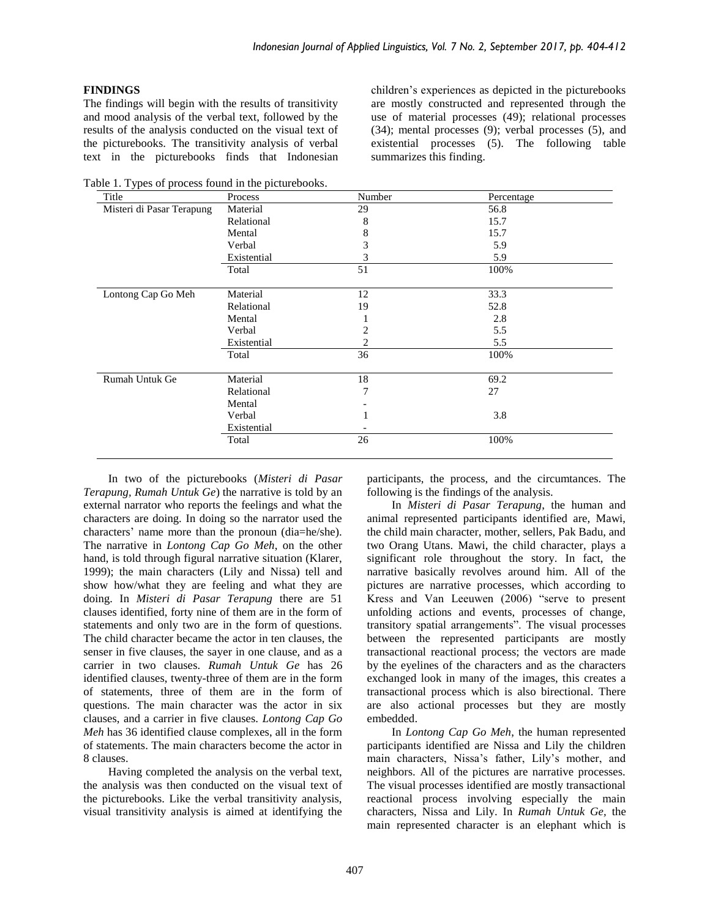## **FINDINGS**

The findings will begin with the results of transitivity and mood analysis of the verbal text, followed by the results of the analysis conducted on the visual text of the picturebooks. The transitivity analysis of verbal text in the picturebooks finds that Indonesian

Table 1. Types of process found in the picturebooks.

children's experiences as depicted in the picturebooks are mostly constructed and represented through the use of material processes (49); relational processes (34); mental processes (9); verbal processes (5), and existential processes (5). The following table summarizes this finding.

| Process     | Number | Percentage |  |
|-------------|--------|------------|--|
| Material    | 29     | 56.8       |  |
| Relational  | 8      | 15.7       |  |
| Mental      | 8      | 15.7       |  |
| Verbal      | 3      | 5.9        |  |
| Existential | 3      | 5.9        |  |
| Total       | 51     | 100%       |  |
| Material    | 12     | 33.3       |  |
| Relational  | 19     | 52.8       |  |
| Mental      |        | 2.8        |  |
| Verbal      | 2      | 5.5        |  |
| Existential | 2      | 5.5        |  |
| Total       | 36     | 100%       |  |
| Material    | 18     | 69.2       |  |
| Relational  | 7      | 27         |  |
| Mental      |        |            |  |
| Verbal      |        | 3.8        |  |
| Existential |        |            |  |
| Total       | 26     | 100%       |  |
|             |        |            |  |

In two of the picturebooks (*Misteri di Pasar Terapung, Rumah Untuk Ge*) the narrative is told by an external narrator who reports the feelings and what the characters are doing. In doing so the narrator used the characters' name more than the pronoun (dia=he/she). The narrative in *Lontong Cap Go Meh*, on the other hand, is told through figural narrative situation (Klarer, 1999); the main characters (Lily and Nissa) tell and show how/what they are feeling and what they are doing. In *Misteri di Pasar Terapung* there are 51 clauses identified, forty nine of them are in the form of statements and only two are in the form of questions. The child character became the actor in ten clauses, the senser in five clauses, the sayer in one clause, and as a carrier in two clauses. *Rumah Untuk Ge* has 26 identified clauses, twenty-three of them are in the form of statements, three of them are in the form of questions. The main character was the actor in six clauses, and a carrier in five clauses. *Lontong Cap Go Meh* has 36 identified clause complexes, all in the form of statements. The main characters become the actor in 8 clauses.

Having completed the analysis on the verbal text, the analysis was then conducted on the visual text of the picturebooks. Like the verbal transitivity analysis, visual transitivity analysis is aimed at identifying the

participants, the process, and the circumtances. The following is the findings of the analysis.

In *Misteri di Pasar Terapung*, the human and animal represented participants identified are, Mawi, the child main character, mother, sellers, Pak Badu, and two Orang Utans. Mawi, the child character, plays a significant role throughout the story. In fact, the narrative basically revolves around him. All of the pictures are narrative processes, which according to Kress and Van Leeuwen (2006) "serve to present unfolding actions and events, processes of change, transitory spatial arrangements". The visual processes between the represented participants are mostly transactional reactional process; the vectors are made by the eyelines of the characters and as the characters exchanged look in many of the images, this creates a transactional process which is also birectional. There are also actional processes but they are mostly embedded.

In *Lontong Cap Go Meh*, the human represented participants identified are Nissa and Lily the children main characters, Nissa's father, Lily's mother, and neighbors. All of the pictures are narrative processes. The visual processes identified are mostly transactional reactional process involving especially the main characters, Nissa and Lily. In *Rumah Untuk Ge,* the main represented character is an elephant which is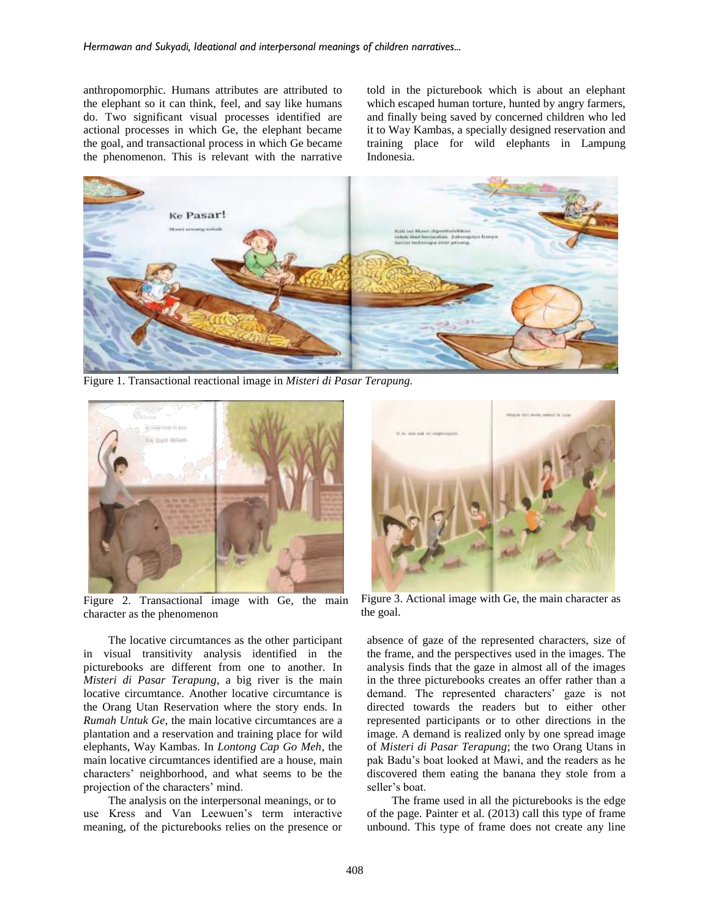anthropomorphic. Humans attributes are attributed to the elephant so it can think, feel, and say like humans do. Two significant visual processes identified are actional processes in which Ge, the elephant became the goal, and transactional process in which Ge became the phenomenon. This is relevant with the narrative

told in the picturebook which is about an elephant which escaped human torture, hunted by angry farmers, and finally being saved by concerned children who led it to Way Kambas, a specially designed reservation and training place for wild elephants in Lampung Indonesia.



Figure 1. Transactional reactional image in *Misteri di Pasar Terapung.*



Figure 2. Transactional image with Ge, the main character as the phenomenon

The locative circumtances as the other participant in visual transitivity analysis identified in the picturebooks are different from one to another. In *Misteri di Pasar Terapung*, a big river is the main locative circumtance. Another locative circumtance is the Orang Utan Reservation where the story ends. In *Rumah Untuk Ge*, the main locative circumtances are a plantation and a reservation and training place for wild elephants, Way Kambas. In *Lontong Cap Go Meh*, the main locative circumtances identified are a house, main characters' neighborhood, and what seems to be the projection of the characters' mind.

The analysis on the interpersonal meanings, or to use Kress and Van Leewuen's term interactive meaning, of the picturebooks relies on the presence or



Figure 3. Actional image with Ge, the main character as the goal.

absence of gaze of the represented characters, size of the frame, and the perspectives used in the images. The analysis finds that the gaze in almost all of the images in the three picturebooks creates an offer rather than a demand. The represented characters' gaze is not directed towards the readers but to either other represented participants or to other directions in the image. A demand is realized only by one spread image of *Misteri di Pasar Terapung*; the two Orang Utans in pak Badu's boat looked at Mawi, and the readers as he discovered them eating the banana they stole from a seller's boat.

The frame used in all the picturebooks is the edge of the page. Painter et al. (2013) call this type of frame unbound. This type of frame does not create any line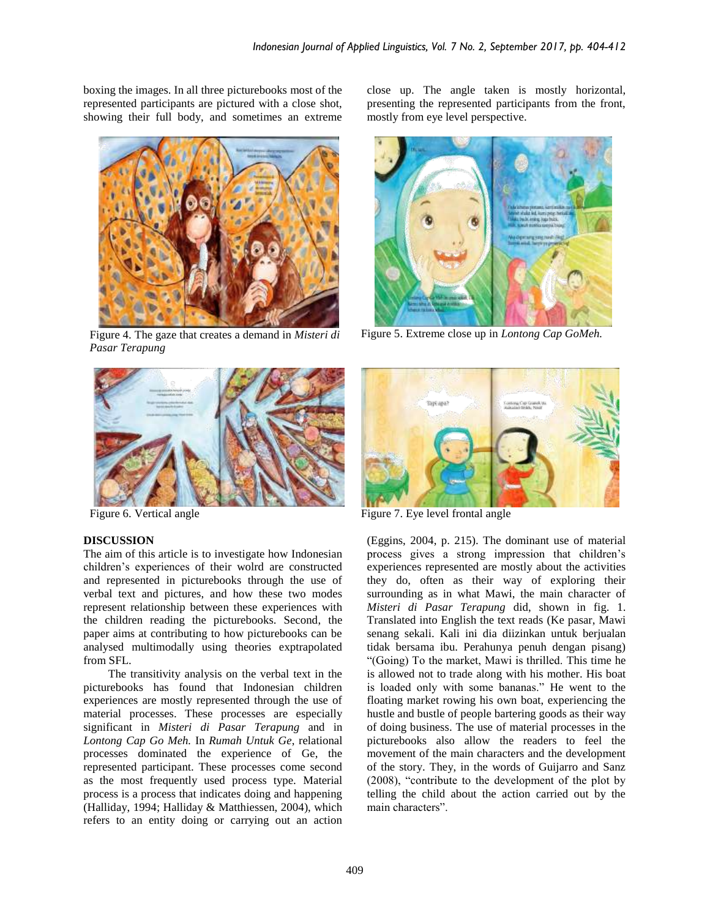boxing the images. In all three picturebooks most of the represented participants are pictured with a close shot, showing their full body, and sometimes an extreme



Figure 4. The gaze that creates a demand in *Misteri di Pasar Terapung*



## **DISCUSSION**

The aim of this article is to investigate how Indonesian children's experiences of their wolrd are constructed and represented in picturebooks through the use of verbal text and pictures, and how these two modes represent relationship between these experiences with the children reading the picturebooks. Second, the paper aims at contributing to how picturebooks can be analysed multimodally using theories exptrapolated from SFL.

The transitivity analysis on the verbal text in the picturebooks has found that Indonesian children experiences are mostly represented through the use of material processes. These processes are especially significant in *Misteri di Pasar Terapung* and in *Lontong Cap Go Meh.* In *Rumah Untuk Ge*, relational processes dominated the experience of Ge, the represented participant. These processes come second as the most frequently used process type. Material process is a process that indicates doing and happening (Halliday, 1994; Halliday & Matthiessen, 2004), which refers to an entity doing or carrying out an action

close up. The angle taken is mostly horizontal, presenting the represented participants from the front, mostly from eye level perspective.



Figure 5. Extreme close up in *Lontong Cap GoMeh.*



Figure 6. Vertical angle Figure 7. Eye level frontal angle

(Eggins, 2004, p. 215). The dominant use of material process gives a strong impression that children's experiences represented are mostly about the activities they do, often as their way of exploring their surrounding as in what Mawi, the main character of *Misteri di Pasar Terapung* did, shown in fig. 1. Translated into English the text reads (Ke pasar, Mawi senang sekali. Kali ini dia diizinkan untuk berjualan tidak bersama ibu. Perahunya penuh dengan pisang) "(Going) To the market, Mawi is thrilled. This time he is allowed not to trade along with his mother. His boat is loaded only with some bananas." He went to the floating market rowing his own boat, experiencing the hustle and bustle of people bartering goods as their way of doing business. The use of material processes in the picturebooks also allow the readers to feel the movement of the main characters and the development of the story. They, in the words of Guijarro and Sanz (2008), "contribute to the development of the plot by telling the child about the action carried out by the main characters".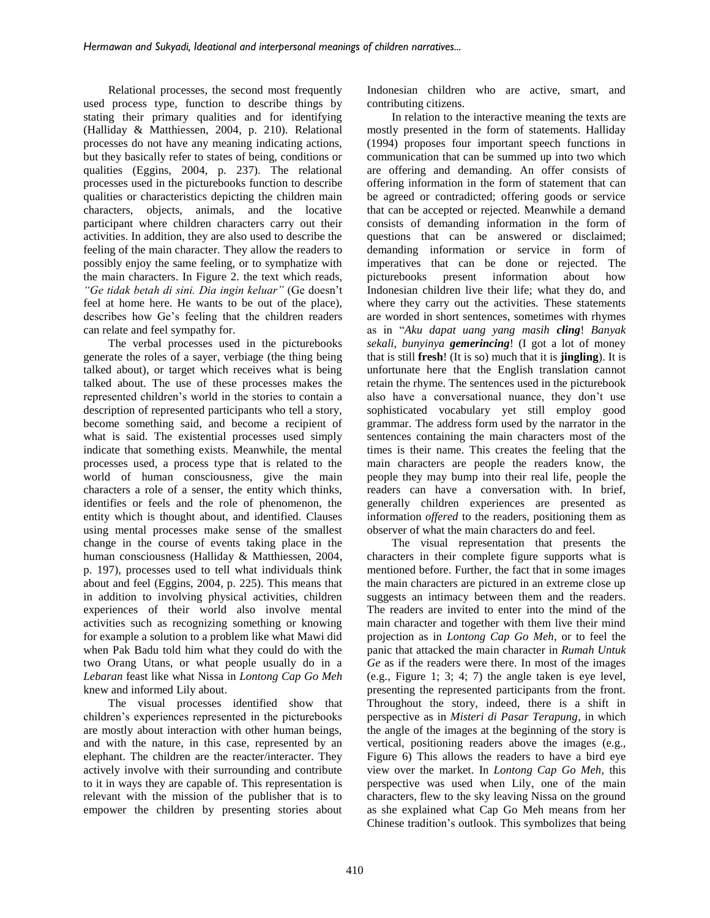Relational processes, the second most frequently used process type, function to describe things by stating their primary qualities and for identifying (Halliday & Matthiessen, 2004, p. 210). Relational processes do not have any meaning indicating actions, but they basically refer to states of being, conditions or qualities (Eggins, 2004, p. 237). The relational processes used in the picturebooks function to describe qualities or characteristics depicting the children main characters, objects, animals, and the locative participant where children characters carry out their activities. In addition, they are also used to describe the feeling of the main character. They allow the readers to possibly enjoy the same feeling, or to symphatize with the main characters. In Figure 2. the text which reads, *"Ge tidak betah di sini. Dia ingin keluar"* (Ge doesn't feel at home here. He wants to be out of the place), describes how Ge's feeling that the children readers can relate and feel sympathy for.

The verbal processes used in the picturebooks generate the roles of a sayer, verbiage (the thing being talked about), or target which receives what is being talked about. The use of these processes makes the represented children's world in the stories to contain a description of represented participants who tell a story, become something said, and become a recipient of what is said. The existential processes used simply indicate that something exists. Meanwhile, the mental processes used, a process type that is related to the world of human consciousness, give the main characters a role of a senser, the entity which thinks, identifies or feels and the role of phenomenon, the entity which is thought about, and identified. Clauses using mental processes make sense of the smallest change in the course of events taking place in the human consciousness (Halliday & Matthiessen, 2004, p. 197), processes used to tell what individuals think about and feel (Eggins, 2004, p. 225). This means that in addition to involving physical activities, children experiences of their world also involve mental activities such as recognizing something or knowing for example a solution to a problem like what Mawi did when Pak Badu told him what they could do with the two Orang Utans, or what people usually do in a *Lebaran* feast like what Nissa in *Lontong Cap Go Meh* knew and informed Lily about.

The visual processes identified show that children's experiences represented in the picturebooks are mostly about interaction with other human beings, and with the nature, in this case, represented by an elephant. The children are the reacter/interacter. They actively involve with their surrounding and contribute to it in ways they are capable of. This representation is relevant with the mission of the publisher that is to empower the children by presenting stories about Indonesian children who are active, smart, and contributing citizens.

In relation to the interactive meaning the texts are mostly presented in the form of statements. Halliday (1994) proposes four important speech functions in communication that can be summed up into two which are offering and demanding. An offer consists of offering information in the form of statement that can be agreed or contradicted; offering goods or service that can be accepted or rejected. Meanwhile a demand consists of demanding information in the form of questions that can be answered or disclaimed; demanding information or service in form of imperatives that can be done or rejected. The picturebooks present information about how Indonesian children live their life; what they do, and where they carry out the activities. These statements are worded in short sentences, sometimes with rhymes as in "*Aku dapat uang yang masih cling*! *Banyak sekali, bunyinya gemerincing*! (I got a lot of money that is still **fresh**! (It is so) much that it is **jingling**). It is unfortunate here that the English translation cannot retain the rhyme. The sentences used in the picturebook also have a conversational nuance, they don't use sophisticated vocabulary yet still employ good grammar. The address form used by the narrator in the sentences containing the main characters most of the times is their name. This creates the feeling that the main characters are people the readers know, the people they may bump into their real life, people the readers can have a conversation with. In brief, generally children experiences are presented as information *offered* to the readers, positioning them as observer of what the main characters do and feel.

The visual representation that presents the characters in their complete figure supports what is mentioned before. Further, the fact that in some images the main characters are pictured in an extreme close up suggests an intimacy between them and the readers. The readers are invited to enter into the mind of the main character and together with them live their mind projection as in *Lontong Cap Go Meh*, or to feel the panic that attacked the main character in *Rumah Untuk Ge* as if the readers were there. In most of the images (e.g., Figure 1; 3; 4; 7) the angle taken is eye level, presenting the represented participants from the front. Throughout the story, indeed, there is a shift in perspective as in *Misteri di Pasar Terapung*, in which the angle of the images at the beginning of the story is vertical, positioning readers above the images (e.g., Figure 6) This allows the readers to have a bird eye view over the market. In *Lontong Cap Go Meh*, this perspective was used when Lily, one of the main characters, flew to the sky leaving Nissa on the ground as she explained what Cap Go Meh means from her Chinese tradition's outlook. This symbolizes that being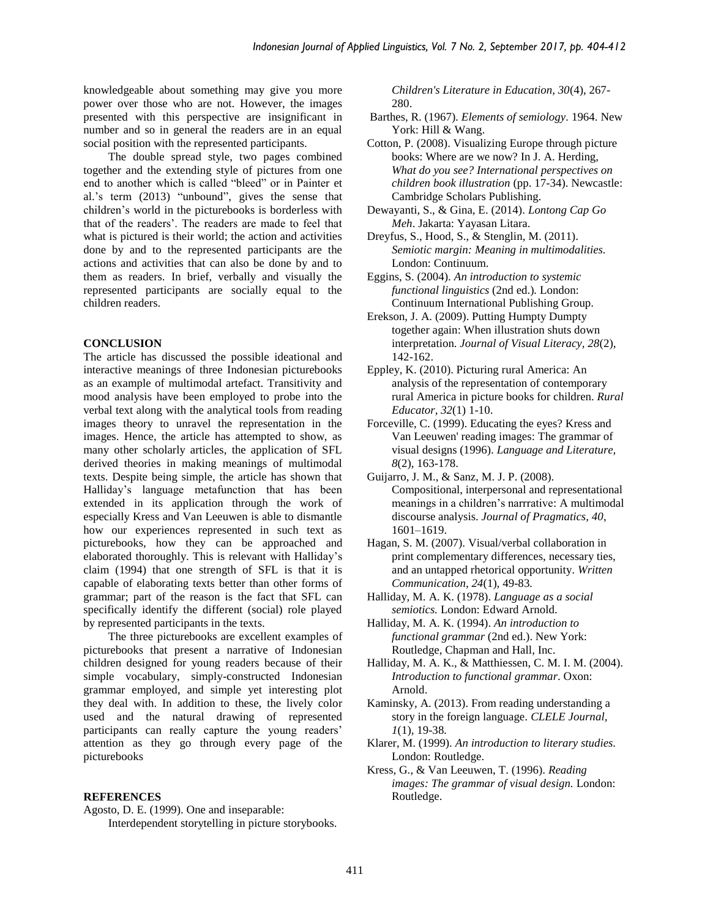knowledgeable about something may give you more power over those who are not. However, the images presented with this perspective are insignificant in number and so in general the readers are in an equal social position with the represented participants.

The double spread style, two pages combined together and the extending style of pictures from one end to another which is called "bleed" or in Painter et al.'s term (2013) "unbound"*,* gives the sense that children's world in the picturebooks is borderless with that of the readers'. The readers are made to feel that what is pictured is their world; the action and activities done by and to the represented participants are the actions and activities that can also be done by and to them as readers. In brief, verbally and visually the represented participants are socially equal to the children readers.

## **CONCLUSION**

The article has discussed the possible ideational and interactive meanings of three Indonesian picturebooks as an example of multimodal artefact. Transitivity and mood analysis have been employed to probe into the verbal text along with the analytical tools from reading images theory to unravel the representation in the images. Hence, the article has attempted to show, as many other scholarly articles, the application of SFL derived theories in making meanings of multimodal texts. Despite being simple, the article has shown that Halliday's language metafunction that has been extended in its application through the work of especially Kress and Van Leeuwen is able to dismantle how our experiences represented in such text as picturebooks, how they can be approached and elaborated thoroughly. This is relevant with Halliday's claim (1994) that one strength of SFL is that it is capable of elaborating texts better than other forms of grammar; part of the reason is the fact that SFL can specifically identify the different (social) role played by represented participants in the texts.

The three picturebooks are excellent examples of picturebooks that present a narrative of Indonesian children designed for young readers because of their simple vocabulary, simply-constructed Indonesian grammar employed, and simple yet interesting plot they deal with. In addition to these, the lively color used and the natural drawing of represented participants can really capture the young readers' attention as they go through every page of the picturebooks

#### **REFERENCES**

Agosto, D. E. (1999). One and inseparable:

Interdependent storytelling in picture storybooks.

*Children's Literature in Education, 30*(4), 267- 280.

- Barthes, R. (1967). *Elements of semiology.* 1964. New York: Hill & Wang.
- Cotton, P. (2008). Visualizing Europe through picture books: Where are we now? In J. A. Herding, *What do you see? International perspectives on children book illustration* (pp. 17-34). Newcastle: Cambridge Scholars Publishing.
- Dewayanti, S., & Gina, E. (2014). *Lontong Cap Go Meh*. Jakarta: Yayasan Litara.
- Dreyfus, S., Hood, S., & Stenglin, M. (2011). *Semiotic margin: Meaning in multimodalities.*  London: Continuum.
- Eggins, S. (2004). *An introduction to systemic functional linguistics* (2nd ed.)*.* London: Continuum International Publishing Group.
- Erekson, J. A. (2009). Putting Humpty Dumpty together again: When illustration shuts down interpretation. *Journal of Visual Literacy, 28*(2)*,* 142-162.
- Eppley, K. (2010). Picturing rural America: An analysis of the representation of contemporary rural America in picture books for children. *Rural Educator, 32*(1) 1-10.
- Forceville, C. (1999). Educating the eyes? Kress and Van Leeuwen' reading images: The grammar of visual designs (1996). *Language and Literature, 8*(2)*,* 163-178.
- Guijarro, J. M., & Sanz, M. J. P. (2008). Compositional, interpersonal and representational meanings in a children's narrrative: A multimodal discourse analysis. *Journal of Pragmatics, 40*, 1601–1619.
- Hagan, S. M. (2007). Visual/verbal collaboration in print complementary differences, necessary ties, and an untapped rhetorical opportunity. *Written Communication, 24*(1)*,* 49-83*.*
- Halliday, M. A. K. (1978). *Language as a social semiotics.* London: Edward Arnold.
- Halliday, M. A. K. (1994). *An introduction to functional grammar* (2nd ed.). New York: Routledge, Chapman and Hall, Inc.
- Halliday, M. A. K., & Matthiessen, C. M. I. M. (2004). *Introduction to functional grammar*. Oxon: Arnold.
- Kaminsky, A. (2013). From reading understanding a story in the foreign language. *CLELE Journal, 1*(1)*,* 19-38*.*
- Klarer, M. (1999). *An introduction to literary studies.* London: Routledge.
- Kress, G., & Van Leeuwen, T. (1996). *Reading images: The grammar of visual design.* London: Routledge.